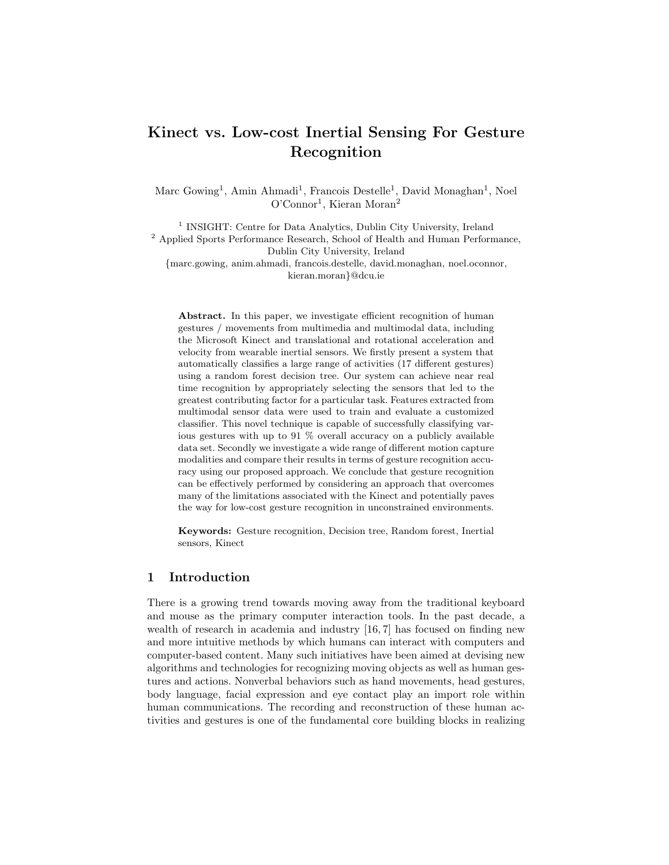# Kinect vs. Low-cost Inertial Sensing For Gesture Recognition

Marc Gowing<sup>1</sup>, Amin Ahmadi<sup>1</sup>, Francois Destelle<sup>1</sup>, David Monaghan<sup>1</sup>, Noel O'Connor<sup>1</sup>, Kieran Moran<sup>2</sup>

<sup>1</sup> INSIGHT: Centre for Data Analytics, Dublin City University, Ireland <sup>2</sup> Applied Sports Performance Research, School of Health and Human Performance, Dublin City University, Ireland {marc.gowing, anim.ahmadi, francois.destelle, david.monaghan, noel.oconnor,

kieran.moran}@dcu.ie

Abstract. In this paper, we investigate efficient recognition of human gestures / movements from multimedia and multimodal data, including the Microsoft Kinect and translational and rotational acceleration and velocity from wearable inertial sensors. We firstly present a system that automatically classifies a large range of activities (17 different gestures) using a random forest decision tree. Our system can achieve near real time recognition by appropriately selecting the sensors that led to the greatest contributing factor for a particular task. Features extracted from multimodal sensor data were used to train and evaluate a customized classifier. This novel technique is capable of successfully classifying various gestures with up to 91 % overall accuracy on a publicly available data set. Secondly we investigate a wide range of different motion capture modalities and compare their results in terms of gesture recognition accuracy using our proposed approach. We conclude that gesture recognition can be effectively performed by considering an approach that overcomes many of the limitations associated with the Kinect and potentially paves the way for low-cost gesture recognition in unconstrained environments.

Keywords: Gesture recognition, Decision tree, Random forest, Inertial sensors, Kinect

## 1 Introduction

There is a growing trend towards moving away from the traditional keyboard and mouse as the primary computer interaction tools. In the past decade, a wealth of research in academia and industry [16, 7] has focused on finding new and more intuitive methods by which humans can interact with computers and computer-based content. Many such initiatives have been aimed at devising new algorithms and technologies for recognizing moving objects as well as human gestures and actions. Nonverbal behaviors such as hand movements, head gestures, body language, facial expression and eye contact play an import role within human communications. The recording and reconstruction of these human activities and gestures is one of the fundamental core building blocks in realizing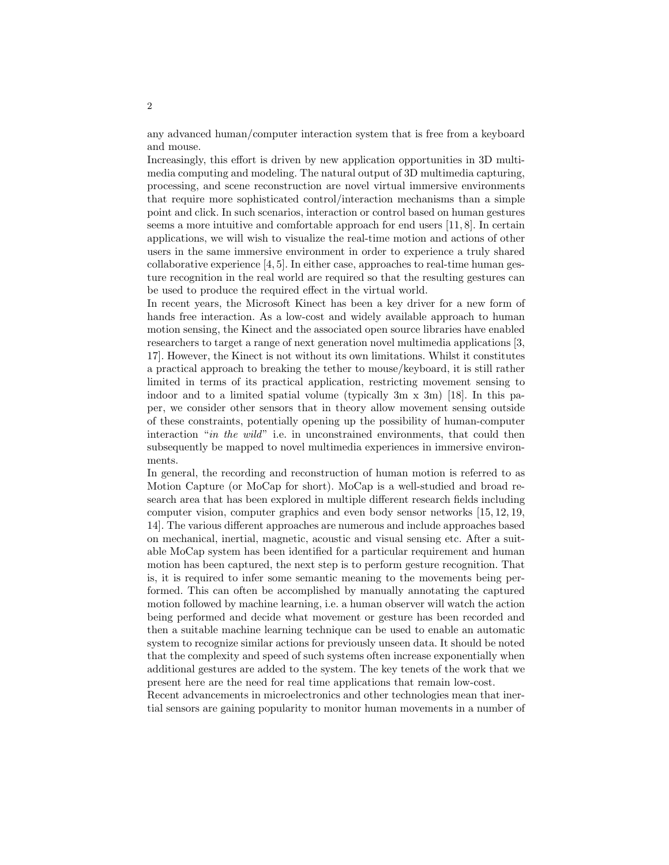any advanced human/computer interaction system that is free from a keyboard and mouse.

Increasingly, this effort is driven by new application opportunities in 3D multimedia computing and modeling. The natural output of 3D multimedia capturing, processing, and scene reconstruction are novel virtual immersive environments that require more sophisticated control/interaction mechanisms than a simple point and click. In such scenarios, interaction or control based on human gestures seems a more intuitive and comfortable approach for end users [11, 8]. In certain applications, we will wish to visualize the real-time motion and actions of other users in the same immersive environment in order to experience a truly shared collaborative experience [4, 5]. In either case, approaches to real-time human gesture recognition in the real world are required so that the resulting gestures can be used to produce the required effect in the virtual world.

In recent years, the Microsoft Kinect has been a key driver for a new form of hands free interaction. As a low-cost and widely available approach to human motion sensing, the Kinect and the associated open source libraries have enabled researchers to target a range of next generation novel multimedia applications [3, 17]. However, the Kinect is not without its own limitations. Whilst it constitutes a practical approach to breaking the tether to mouse/keyboard, it is still rather limited in terms of its practical application, restricting movement sensing to indoor and to a limited spatial volume (typically 3m x 3m) [18]. In this paper, we consider other sensors that in theory allow movement sensing outside of these constraints, potentially opening up the possibility of human-computer interaction "in the wild" i.e. in unconstrained environments, that could then subsequently be mapped to novel multimedia experiences in immersive environments.

In general, the recording and reconstruction of human motion is referred to as Motion Capture (or MoCap for short). MoCap is a well-studied and broad research area that has been explored in multiple different research fields including computer vision, computer graphics and even body sensor networks [15, 12, 19, 14]. The various different approaches are numerous and include approaches based on mechanical, inertial, magnetic, acoustic and visual sensing etc. After a suitable MoCap system has been identified for a particular requirement and human motion has been captured, the next step is to perform gesture recognition. That is, it is required to infer some semantic meaning to the movements being performed. This can often be accomplished by manually annotating the captured motion followed by machine learning, i.e. a human observer will watch the action being performed and decide what movement or gesture has been recorded and then a suitable machine learning technique can be used to enable an automatic system to recognize similar actions for previously unseen data. It should be noted that the complexity and speed of such systems often increase exponentially when additional gestures are added to the system. The key tenets of the work that we present here are the need for real time applications that remain low-cost.

Recent advancements in microelectronics and other technologies mean that inertial sensors are gaining popularity to monitor human movements in a number of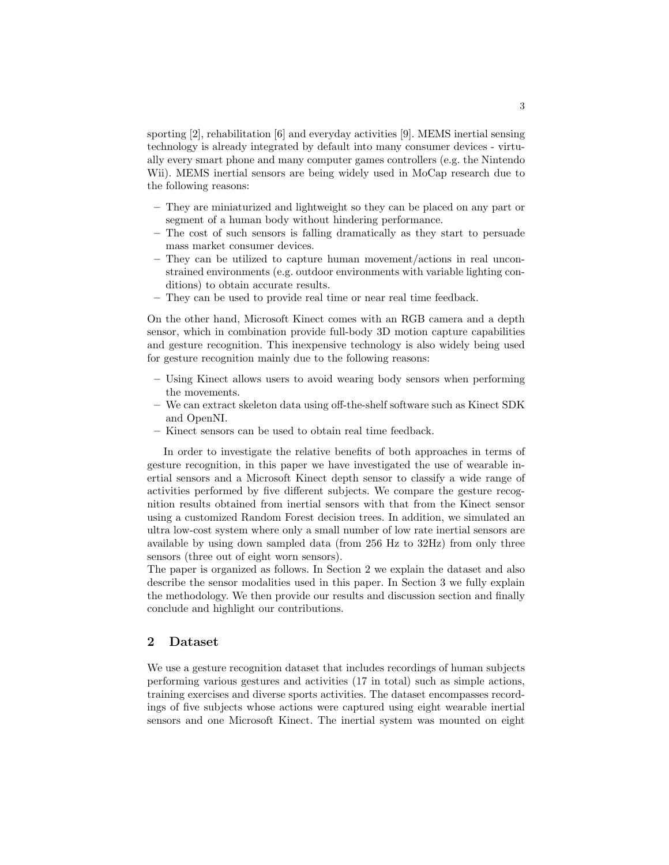sporting [2], rehabilitation [6] and everyday activities [9]. MEMS inertial sensing technology is already integrated by default into many consumer devices - virtually every smart phone and many computer games controllers (e.g. the Nintendo Wii). MEMS inertial sensors are being widely used in MoCap research due to the following reasons:

- They are miniaturized and lightweight so they can be placed on any part or segment of a human body without hindering performance.
- The cost of such sensors is falling dramatically as they start to persuade mass market consumer devices.
- They can be utilized to capture human movement/actions in real unconstrained environments (e.g. outdoor environments with variable lighting conditions) to obtain accurate results.
- They can be used to provide real time or near real time feedback.

On the other hand, Microsoft Kinect comes with an RGB camera and a depth sensor, which in combination provide full-body 3D motion capture capabilities and gesture recognition. This inexpensive technology is also widely being used for gesture recognition mainly due to the following reasons:

- Using Kinect allows users to avoid wearing body sensors when performing the movements.
- We can extract skeleton data using off-the-shelf software such as Kinect SDK and OpenNI.
- Kinect sensors can be used to obtain real time feedback.

In order to investigate the relative benefits of both approaches in terms of gesture recognition, in this paper we have investigated the use of wearable inertial sensors and a Microsoft Kinect depth sensor to classify a wide range of activities performed by five different subjects. We compare the gesture recognition results obtained from inertial sensors with that from the Kinect sensor using a customized Random Forest decision trees. In addition, we simulated an ultra low-cost system where only a small number of low rate inertial sensors are available by using down sampled data (from 256 Hz to 32Hz) from only three sensors (three out of eight worn sensors).

The paper is organized as follows. In Section 2 we explain the dataset and also describe the sensor modalities used in this paper. In Section 3 we fully explain the methodology. We then provide our results and discussion section and finally conclude and highlight our contributions.

# 2 Dataset

We use a gesture recognition dataset that includes recordings of human subjects performing various gestures and activities (17 in total) such as simple actions, training exercises and diverse sports activities. The dataset encompasses recordings of five subjects whose actions were captured using eight wearable inertial sensors and one Microsoft Kinect. The inertial system was mounted on eight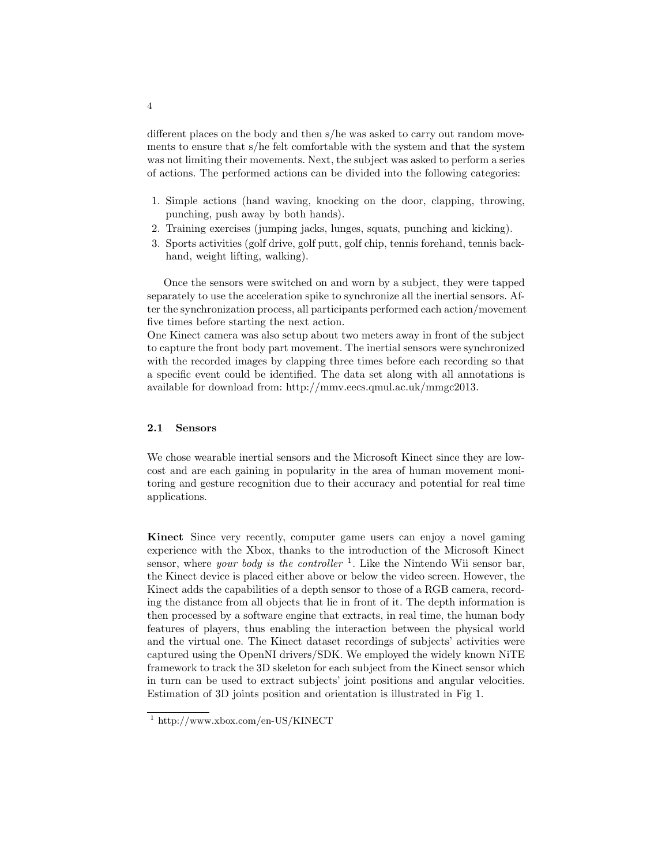different places on the body and then s/he was asked to carry out random movements to ensure that s/he felt comfortable with the system and that the system was not limiting their movements. Next, the subject was asked to perform a series of actions. The performed actions can be divided into the following categories:

- 1. Simple actions (hand waving, knocking on the door, clapping, throwing, punching, push away by both hands).
- 2. Training exercises (jumping jacks, lunges, squats, punching and kicking).
- 3. Sports activities (golf drive, golf putt, golf chip, tennis forehand, tennis backhand, weight lifting, walking).

Once the sensors were switched on and worn by a subject, they were tapped separately to use the acceleration spike to synchronize all the inertial sensors. After the synchronization process, all participants performed each action/movement five times before starting the next action.

One Kinect camera was also setup about two meters away in front of the subject to capture the front body part movement. The inertial sensors were synchronized with the recorded images by clapping three times before each recording so that a specific event could be identified. The data set along with all annotations is available for download from: http://mmv.eecs.qmul.ac.uk/mmgc2013.

## 2.1 Sensors

We chose wearable inertial sensors and the Microsoft Kinect since they are lowcost and are each gaining in popularity in the area of human movement monitoring and gesture recognition due to their accuracy and potential for real time applications.

Kinect Since very recently, computer game users can enjoy a novel gaming experience with the Xbox, thanks to the introduction of the Microsoft Kinect sensor, where *your body is the controller* <sup>1</sup>. Like the Nintendo Wii sensor bar, the Kinect device is placed either above or below the video screen. However, the Kinect adds the capabilities of a depth sensor to those of a RGB camera, recording the distance from all objects that lie in front of it. The depth information is then processed by a software engine that extracts, in real time, the human body features of players, thus enabling the interaction between the physical world and the virtual one. The Kinect dataset recordings of subjects' activities were captured using the OpenNI drivers/SDK. We employed the widely known NiTE framework to track the 3D skeleton for each subject from the Kinect sensor which in turn can be used to extract subjects' joint positions and angular velocities. Estimation of 3D joints position and orientation is illustrated in Fig 1.

<sup>1</sup> http://www.xbox.com/en-US/KINECT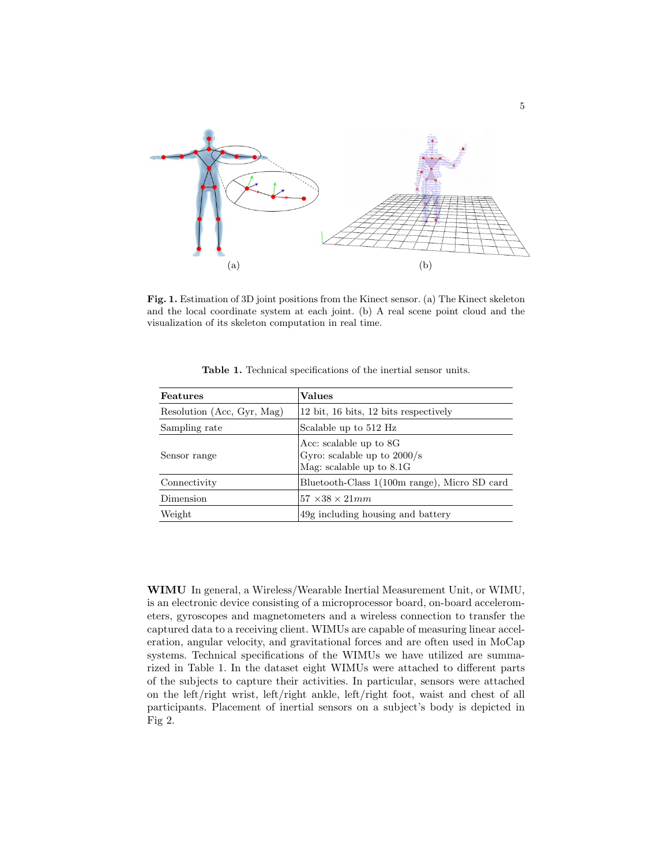

Fig. 1. Estimation of 3D joint positions from the Kinect sensor. (a) The Kinect skeleton and the local coordinate system at each joint. (b) A real scene point cloud and the visualization of its skeleton computation in real time.

| Features                   | Values                                                                                         |
|----------------------------|------------------------------------------------------------------------------------------------|
| Resolution (Acc, Gyr, Mag) | 12 bit, 16 bits, 12 bits respectively                                                          |
| Sampling rate              | Scalable up to 512 Hz                                                                          |
| Sensor range               | Acc: scalable up to 8G<br>Gyro: scalable up to $2000/\mathrm{s}$<br>Mag: scalable up to $8.1G$ |
| Connectivity               | Bluetooth-Class 1(100m range), Micro SD card                                                   |
| Dimension                  | $57 \times 38 \times 21$ mm                                                                    |
| Weight                     | 49g including housing and battery                                                              |

Table 1. Technical specifications of the inertial sensor units.

WIMU In general, a Wireless/Wearable Inertial Measurement Unit, or WIMU, is an electronic device consisting of a microprocessor board, on-board accelerometers, gyroscopes and magnetometers and a wireless connection to transfer the captured data to a receiving client. WIMUs are capable of measuring linear acceleration, angular velocity, and gravitational forces and are often used in MoCap systems. Technical specifications of the WIMUs we have utilized are summarized in Table 1. In the dataset eight WIMUs were attached to different parts of the subjects to capture their activities. In particular, sensors were attached on the left/right wrist, left/right ankle, left/right foot, waist and chest of all participants. Placement of inertial sensors on a subject's body is depicted in Fig 2.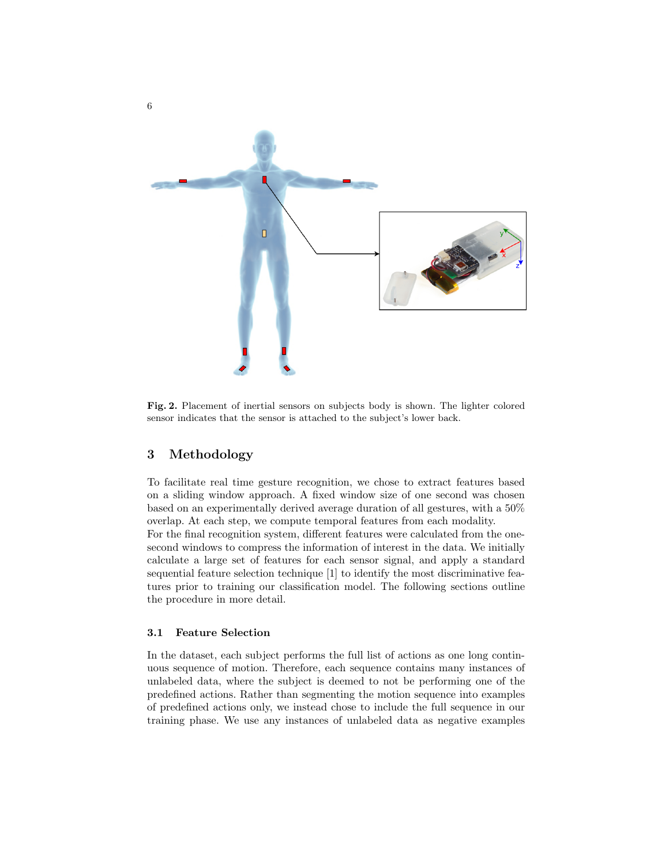

Fig. 2. Placement of inertial sensors on subjects body is shown. The lighter colored sensor indicates that the sensor is attached to the subject's lower back.

# 3 Methodology

To facilitate real time gesture recognition, we chose to extract features based on a sliding window approach. A fixed window size of one second was chosen based on an experimentally derived average duration of all gestures, with a 50% overlap. At each step, we compute temporal features from each modality.

For the final recognition system, different features were calculated from the onesecond windows to compress the information of interest in the data. We initially calculate a large set of features for each sensor signal, and apply a standard sequential feature selection technique [1] to identify the most discriminative features prior to training our classification model. The following sections outline the procedure in more detail.

#### 3.1 Feature Selection

In the dataset, each subject performs the full list of actions as one long continuous sequence of motion. Therefore, each sequence contains many instances of unlabeled data, where the subject is deemed to not be performing one of the predefined actions. Rather than segmenting the motion sequence into examples of predefined actions only, we instead chose to include the full sequence in our training phase. We use any instances of unlabeled data as negative examples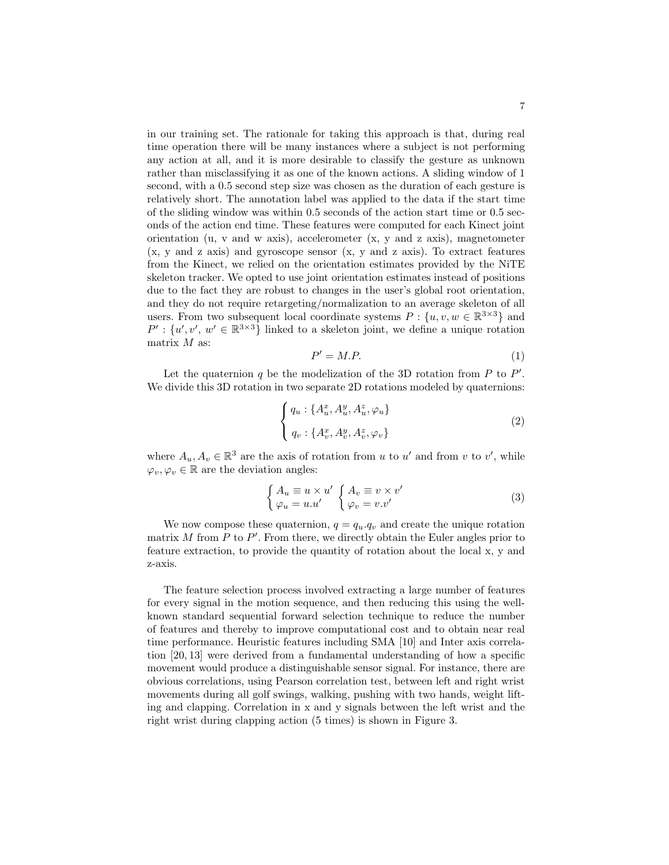in our training set. The rationale for taking this approach is that, during real time operation there will be many instances where a subject is not performing any action at all, and it is more desirable to classify the gesture as unknown rather than misclassifying it as one of the known actions. A sliding window of 1 second, with a 0.5 second step size was chosen as the duration of each gesture is relatively short. The annotation label was applied to the data if the start time of the sliding window was within 0.5 seconds of the action start time or 0.5 seconds of the action end time. These features were computed for each Kinect joint orientation (u, v and w axis), accelerometer  $(x, y, z)$  and z axis), magnetometer (x, y and z axis) and gyroscope sensor (x, y and z axis). To extract features from the Kinect, we relied on the orientation estimates provided by the NiTE skeleton tracker. We opted to use joint orientation estimates instead of positions due to the fact they are robust to changes in the user's global root orientation, and they do not require retargeting/normalization to an average skeleton of all users. From two subsequent local coordinate systems  $P: \{u, v, w \in \mathbb{R}^{3 \times 3}\}\$  and  $P' : \{u', v', w' \in \mathbb{R}^{3 \times 3}\}\$ linked to a skeleton joint, we define a unique rotation matrix  $M$  as:

$$
P' = M.P.
$$
 (1)

Let the quaternion  $q$  be the modelization of the 3D rotation from  $P$  to  $P'$ . We divide this 3D rotation in two separate 2D rotations modeled by quaternions:

$$
\begin{cases} q_u: \{A_u^x, A_u^y, A_u^z, \varphi_u\} \\ q_v: \{A_v^x, A_v^y, A_v^z, \varphi_v\} \end{cases}
$$
 (2)

where  $A_u, A_v \in \mathbb{R}^3$  are the axis of rotation from u to u' and from v to v', while  $\varphi_v, \varphi_v \in \mathbb{R}$  are the deviation angles:

$$
\begin{cases} A_u \equiv u \times u' \\ \varphi_u = u.u' \end{cases} \begin{cases} A_v \equiv v \times v' \\ \varphi_v = v.v' \end{cases} \tag{3}
$$

We now compose these quaternion,  $q = q_u.q_v$  and create the unique rotation matrix  $M$  from  $P$  to  $P'$ . From there, we directly obtain the Euler angles prior to feature extraction, to provide the quantity of rotation about the local x, y and z-axis.

The feature selection process involved extracting a large number of features for every signal in the motion sequence, and then reducing this using the wellknown standard sequential forward selection technique to reduce the number of features and thereby to improve computational cost and to obtain near real time performance. Heuristic features including SMA [10] and Inter axis correlation [20, 13] were derived from a fundamental understanding of how a specific movement would produce a distinguishable sensor signal. For instance, there are obvious correlations, using Pearson correlation test, between left and right wrist movements during all golf swings, walking, pushing with two hands, weight lifting and clapping. Correlation in x and y signals between the left wrist and the right wrist during clapping action (5 times) is shown in Figure 3.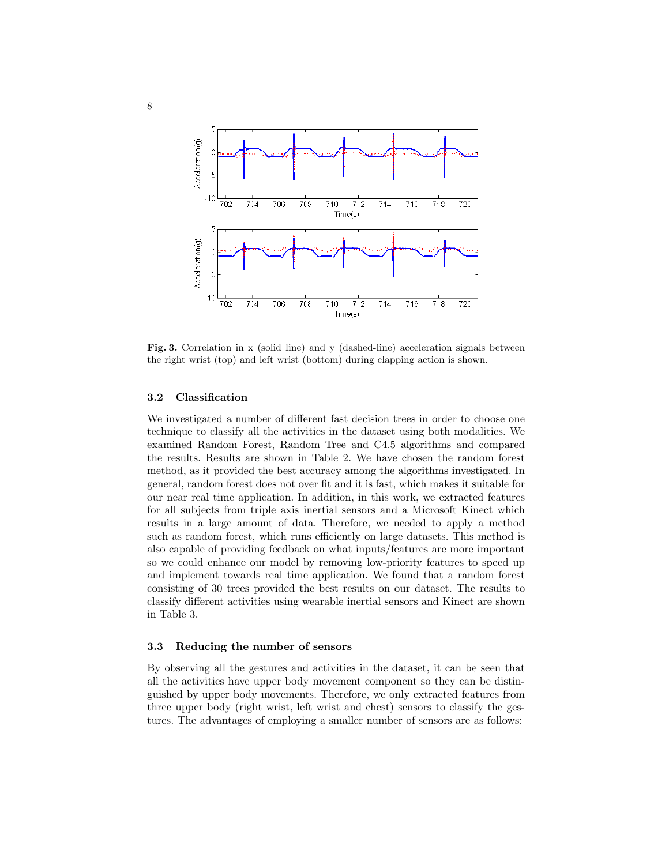

Fig. 3. Correlation in x (solid line) and y (dashed-line) acceleration signals between the right wrist (top) and left wrist (bottom) during clapping action is shown.

#### 3.2 Classification

We investigated a number of different fast decision trees in order to choose one technique to classify all the activities in the dataset using both modalities. We examined Random Forest, Random Tree and C4.5 algorithms and compared the results. Results are shown in Table 2. We have chosen the random forest method, as it provided the best accuracy among the algorithms investigated. In general, random forest does not over fit and it is fast, which makes it suitable for our near real time application. In addition, in this work, we extracted features for all subjects from triple axis inertial sensors and a Microsoft Kinect which results in a large amount of data. Therefore, we needed to apply a method such as random forest, which runs efficiently on large datasets. This method is also capable of providing feedback on what inputs/features are more important so we could enhance our model by removing low-priority features to speed up and implement towards real time application. We found that a random forest consisting of 30 trees provided the best results on our dataset. The results to classify different activities using wearable inertial sensors and Kinect are shown in Table 3.

#### 3.3 Reducing the number of sensors

By observing all the gestures and activities in the dataset, it can be seen that all the activities have upper body movement component so they can be distinguished by upper body movements. Therefore, we only extracted features from three upper body (right wrist, left wrist and chest) sensors to classify the gestures. The advantages of employing a smaller number of sensors are as follows: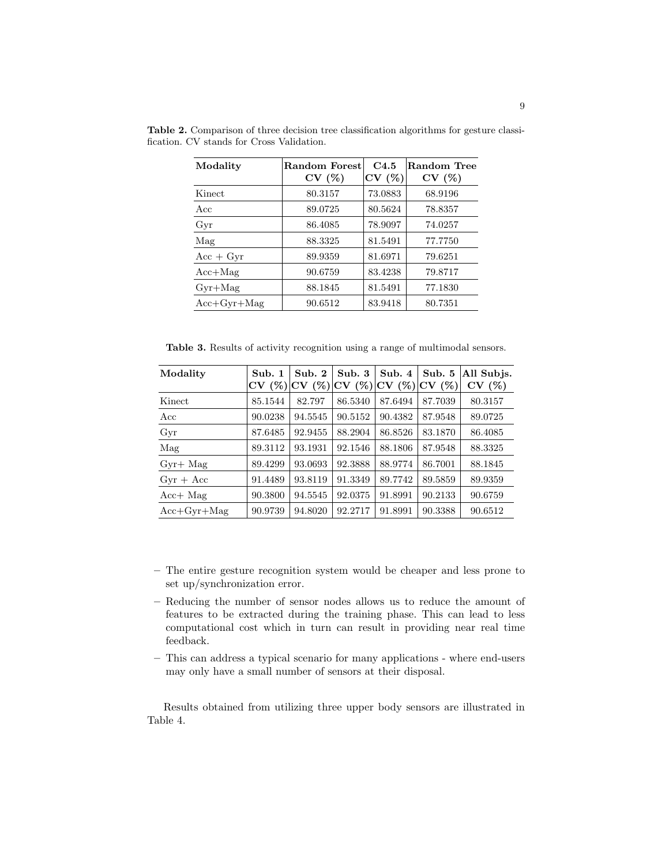| Modality      | <b>Random Forest</b><br>CV(%) | C4.5<br>CV(%) | <b>Random Tree</b><br>CV(%) |
|---------------|-------------------------------|---------------|-----------------------------|
| Kinect        | 80.3157                       | 73.0883       | 68.9196                     |
| Acc           | 89.0725                       | 80.5624       | 78.8357                     |
| Gyr           | 86.4085                       | 78.9097       | 74.0257                     |
| Mag           | 88.3325                       | 81.5491       | 77.7750                     |
| $Acc + Gyr$   | 89.9359                       | 81.6971       | 79.6251                     |
| $Acc+Mag$     | 90.6759                       | 83.4238       | 79.8717                     |
| $Gyr+Mag$     | 88.1845                       | 81.5491       | 77.1830                     |
| $Acc+Gyr+Mag$ | 90.6512                       | 83.9418       | 80.7351                     |

Table 2. Comparison of three decision tree classification algorithms for gesture classification. CV stands for Cross Validation.

Table 3. Results of activity recognition using a range of multimodal sensors.

| Modality      | Sub. 1  | Sub. 2  | Sub.3<br>CV (%) CV (%) CV (%) CV (%) CV (%) | Sub. 4  | Sub. 5  | All Subjs.<br>CV(%) |
|---------------|---------|---------|---------------------------------------------|---------|---------|---------------------|
| Kinect        | 85.1544 | 82.797  | 86.5340                                     | 87.6494 | 87.7039 | 80.3157             |
| Acc           | 90.0238 | 94.5545 | 90.5152                                     | 90.4382 | 87.9548 | 89.0725             |
| Gyr           | 87.6485 | 92.9455 | 88.2904                                     | 86.8526 | 83.1870 | 86.4085             |
| Mag           | 89.3112 | 93.1931 | 92.1546                                     | 88.1806 | 87.9548 | 88.3325             |
| $Gyr + Mag$   | 89.4299 | 93.0693 | 92.3888                                     | 88.9774 | 86.7001 | 88.1845             |
| $Gyr + Acc$   | 91.4489 | 93.8119 | 91.3349                                     | 89.7742 | 89.5859 | 89.9359             |
| $Acc+Mag$     | 90.3800 | 94.5545 | 92.0375                                     | 91.8991 | 90.2133 | 90.6759             |
| $Acc+Gvr+Mag$ | 90.9739 | 94.8020 | 92.2717                                     | 91.8991 | 90.3388 | 90.6512             |

- The entire gesture recognition system would be cheaper and less prone to set up/synchronization error.
- Reducing the number of sensor nodes allows us to reduce the amount of features to be extracted during the training phase. This can lead to less computational cost which in turn can result in providing near real time feedback.
- This can address a typical scenario for many applications where end-users may only have a small number of sensors at their disposal.

Results obtained from utilizing three upper body sensors are illustrated in Table 4.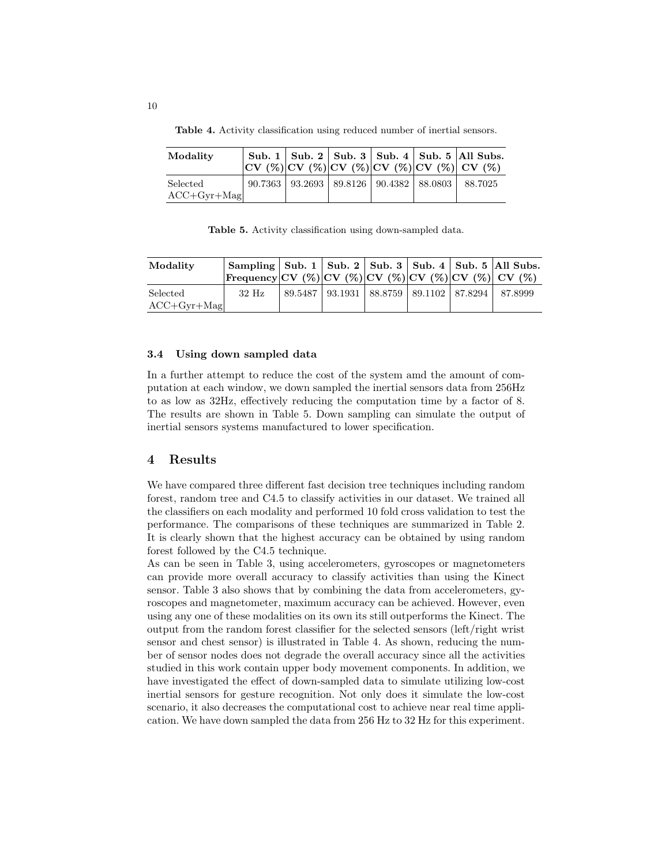Table 4. Activity classification using reduced number of inertial sensors.

| Modality                  |  |  | $\vert$ Sub. 1 $\vert$ Sub. 2 $\vert$ Sub. 3 $\vert$ Sub. 4 $\vert$ Sub. 5 $\vert$ All Subs.<br>$ \mathrm{CV}(\%) \mathrm{CV}(\%) \mathrm{CV}(\%) \mathrm{CV}(\%) \mathrm{CV}(\%) \mathrm{CV}(\%)$ |
|---------------------------|--|--|----------------------------------------------------------------------------------------------------------------------------------------------------------------------------------------------------|
| Selected<br>$ACC+Gyr+Mag$ |  |  | $\mid$ 90.7363 $\mid$ 93.2693 $\mid$ 89.8126 $\mid$ 90.4382 $\mid$ 88.0803 $\mid$ 88.7025                                                                                                          |

Table 5. Activity classification using down-sampled data.

| Modality                  | Sampling   Sub. $1$   Sub. $2$   Sub. $3$   Sub. $4$   Sub. $5$   All Subs.<br>Frequency CV $(\%)$ CV $(\%)$ CV $(\%)$ CV $(\%)$ CV $(\%)$ CV $(\%)$ |  |  |                                                    |
|---------------------------|------------------------------------------------------------------------------------------------------------------------------------------------------|--|--|----------------------------------------------------|
| Selected<br>$ACC+Gvr+Mag$ | $32$ Hz                                                                                                                                              |  |  | $ 89.5487 93.1931 88.8759 89.1102 87.8294 87.8999$ |

## 3.4 Using down sampled data

In a further attempt to reduce the cost of the system amd the amount of computation at each window, we down sampled the inertial sensors data from 256Hz to as low as 32Hz, effectively reducing the computation time by a factor of 8. The results are shown in Table 5. Down sampling can simulate the output of inertial sensors systems manufactured to lower specification.

#### 4 Results

We have compared three different fast decision tree techniques including random forest, random tree and C4.5 to classify activities in our dataset. We trained all the classifiers on each modality and performed 10 fold cross validation to test the performance. The comparisons of these techniques are summarized in Table 2. It is clearly shown that the highest accuracy can be obtained by using random forest followed by the C4.5 technique.

As can be seen in Table 3, using accelerometers, gyroscopes or magnetometers can provide more overall accuracy to classify activities than using the Kinect sensor. Table 3 also shows that by combining the data from accelerometers, gyroscopes and magnetometer, maximum accuracy can be achieved. However, even using any one of these modalities on its own its still outperforms the Kinect. The output from the random forest classifier for the selected sensors (left/right wrist sensor and chest sensor) is illustrated in Table 4. As shown, reducing the number of sensor nodes does not degrade the overall accuracy since all the activities studied in this work contain upper body movement components. In addition, we have investigated the effect of down-sampled data to simulate utilizing low-cost inertial sensors for gesture recognition. Not only does it simulate the low-cost scenario, it also decreases the computational cost to achieve near real time application. We have down sampled the data from 256 Hz to 32 Hz for this experiment.

10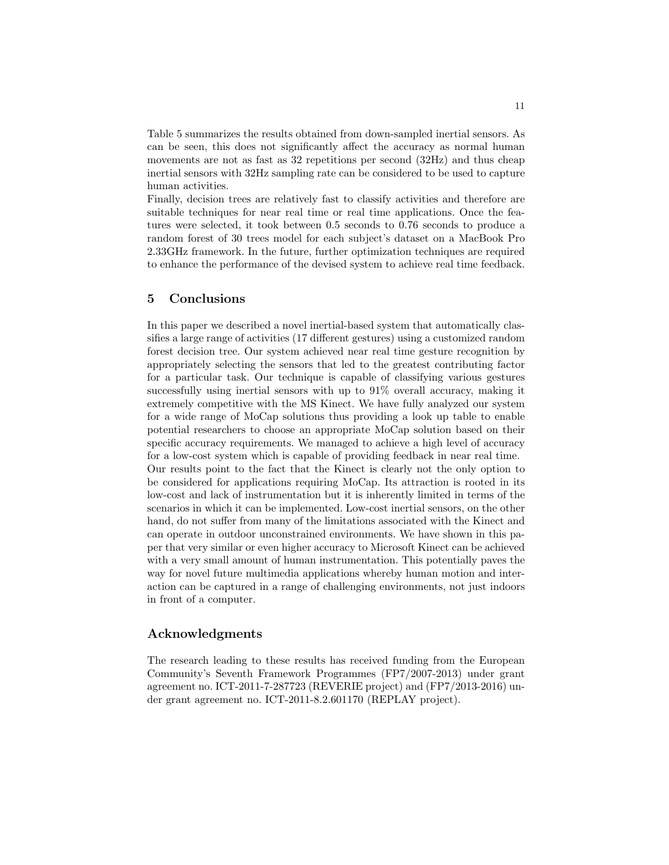Table 5 summarizes the results obtained from down-sampled inertial sensors. As can be seen, this does not significantly affect the accuracy as normal human movements are not as fast as 32 repetitions per second (32Hz) and thus cheap inertial sensors with 32Hz sampling rate can be considered to be used to capture human activities.

Finally, decision trees are relatively fast to classify activities and therefore are suitable techniques for near real time or real time applications. Once the features were selected, it took between 0.5 seconds to 0.76 seconds to produce a random forest of 30 trees model for each subject's dataset on a MacBook Pro 2.33GHz framework. In the future, further optimization techniques are required to enhance the performance of the devised system to achieve real time feedback.

## 5 Conclusions

In this paper we described a novel inertial-based system that automatically classifies a large range of activities (17 different gestures) using a customized random forest decision tree. Our system achieved near real time gesture recognition by appropriately selecting the sensors that led to the greatest contributing factor for a particular task. Our technique is capable of classifying various gestures successfully using inertial sensors with up to 91% overall accuracy, making it extremely competitive with the MS Kinect. We have fully analyzed our system for a wide range of MoCap solutions thus providing a look up table to enable potential researchers to choose an appropriate MoCap solution based on their specific accuracy requirements. We managed to achieve a high level of accuracy for a low-cost system which is capable of providing feedback in near real time. Our results point to the fact that the Kinect is clearly not the only option to be considered for applications requiring MoCap. Its attraction is rooted in its low-cost and lack of instrumentation but it is inherently limited in terms of the scenarios in which it can be implemented. Low-cost inertial sensors, on the other hand, do not suffer from many of the limitations associated with the Kinect and can operate in outdoor unconstrained environments. We have shown in this paper that very similar or even higher accuracy to Microsoft Kinect can be achieved with a very small amount of human instrumentation. This potentially paves the way for novel future multimedia applications whereby human motion and interaction can be captured in a range of challenging environments, not just indoors in front of a computer.

# Acknowledgments

The research leading to these results has received funding from the European Community's Seventh Framework Programmes (FP7/2007-2013) under grant agreement no. ICT-2011-7-287723 (REVERIE project) and (FP7/2013-2016) under grant agreement no. ICT-2011-8.2.601170 (REPLAY project).